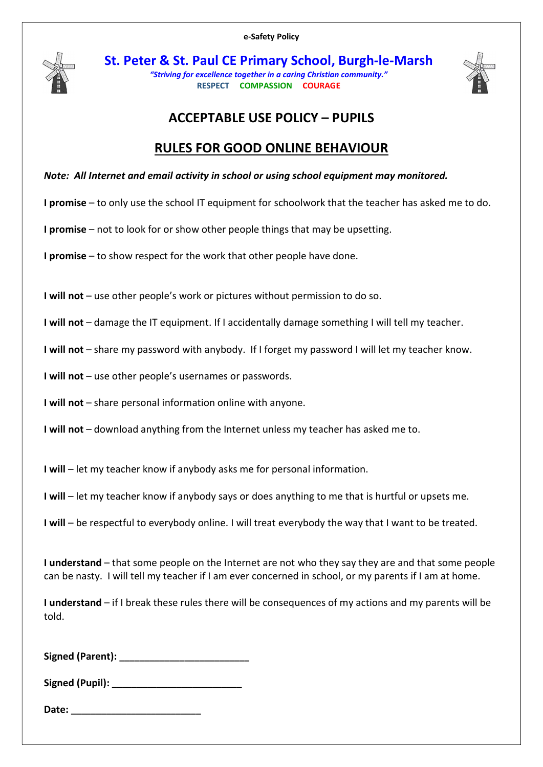

St. Peter & St. Paul CE Primary School, Burgh-le-Marsh "Striving for excellence together in a caring Christian community." RESPECT COMPASSION COURAGE



## ACCEPTABLE USE POLICY – PUPILS

## RULES FOR GOOD ONLINE BEHAVIOUR

Note: All Internet and email activity in school or using school equipment may monitored.

I promise – to only use the school IT equipment for schoolwork that the teacher has asked me to do.

I promise – not to look for or show other people things that may be upsetting.

I promise – to show respect for the work that other people have done.

I will not – use other people's work or pictures without permission to do so.

I will not – damage the IT equipment. If I accidentally damage something I will tell my teacher.

I will not – share my password with anybody. If I forget my password I will let my teacher know.

I will not – use other people's usernames or passwords.

I will not – share personal information online with anyone.

I will not – download anything from the Internet unless my teacher has asked me to.

I will – let my teacher know if anybody asks me for personal information.

I will – let my teacher know if anybody says or does anything to me that is hurtful or upsets me.

I will – be respectful to everybody online. I will treat everybody the way that I want to be treated.

I understand – that some people on the Internet are not who they say they are and that some people can be nasty. I will tell my teacher if I am ever concerned in school, or my parents if I am at home.

I understand – if I break these rules there will be consequences of my actions and my parents will be told.

Signed (Parent): **We area** 

Signed (Pupil):

Date: \_\_\_\_\_\_\_\_\_\_\_\_\_\_\_\_\_\_\_\_\_\_\_\_\_\_